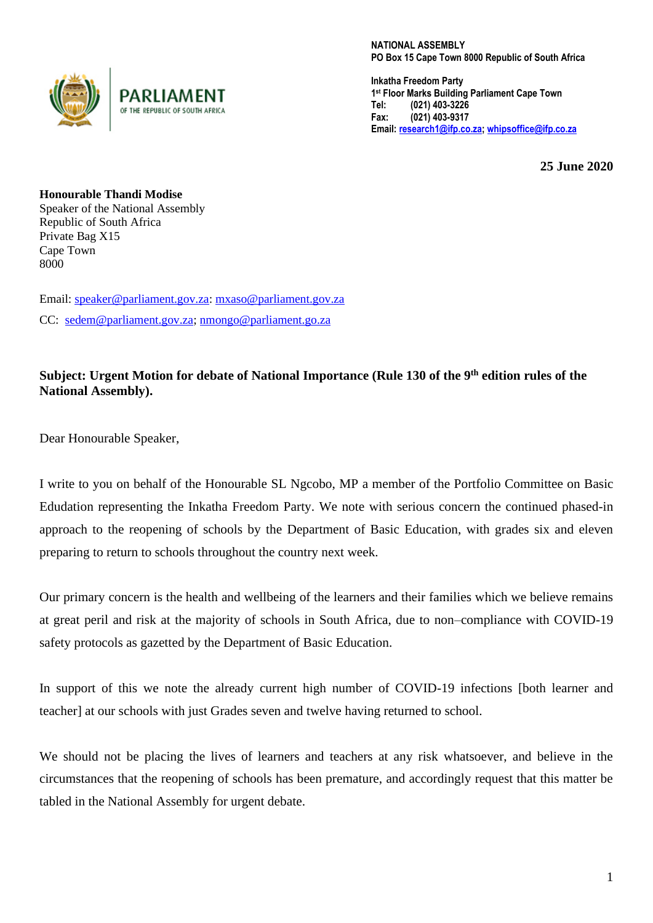

NATIONAL ASSEMBLY PO Box 15 Cape Town 8000 Republic of South Africa

**Inkatha Freedom Party 1 st** Floor Marks Building Parliament Cape Town Tel: (021) 403-3226 Fax: (021) 403-9317 Email: [research1@ifp.co.za;](../AppData/Local/Packages/microsoft.windowscommunicationsapps_8wekyb3d8bbwe/LocalState/Files/S0/3/Attachments/research1@ifp.co.za) [whipsoffice@ifp.co.za](../AppData/Local/Packages/microsoft.windowscommunicationsapps_8wekyb3d8bbwe/LocalState/Files/S0/3/Attachments/whipsoffice@ifp.co.za)

**25 June 2020**

**Honourable Thandi Modise** Speaker of the National Assembly Republic of South Africa Private Bag X15 Cape Town 8000

Email: [speaker@parliament.gov.za:](../AppData/Local/Packages/microsoft.windowscommunicationsapps_8wekyb3d8bbwe/LocalState/Files/S0/3/Attachments/speaker@parliament.gov.za) [mxaso@parliament.gov.za](../AppData/Local/Packages/microsoft.windowscommunicationsapps_8wekyb3d8bbwe/LocalState/Files/S0/3/Attachments/mxaso@parliament.gov.za) CC: [sedem@parliament.gov.za;](../AppData/Local/Packages/microsoft.windowscommunicationsapps_8wekyb3d8bbwe/LocalState/Files/S0/3/Attachments/sedem@parliament.gov.za) [nmongo@parliament.go.za](mailto:nmongo@parliament.go.za)

## **Subject: Urgent Motion for debate of National Importance (Rule 130 of the 9th edition rules of the National Assembly).**

Dear Honourable Speaker,

I write to you on behalf of the Honourable SL Ngcobo, MP a member of the Portfolio Committee on Basic Edudation representing the Inkatha Freedom Party. We note with serious concern the continued phased-in approach to the reopening of schools by the Department of Basic Education, with grades six and eleven preparing to return to schools throughout the country next week.

Our primary concern is the health and wellbeing of the learners and their families which we believe remains at great peril and risk at the majority of schools in South Africa, due to non–compliance with COVID-19 safety protocols as gazetted by the Department of Basic Education.

In support of this we note the already current high number of COVID-19 infections [both learner and teacher] at our schools with just Grades seven and twelve having returned to school.

We should not be placing the lives of learners and teachers at any risk whatsoever, and believe in the circumstances that the reopening of schools has been premature, and accordingly request that this matter be tabled in the National Assembly for urgent debate.